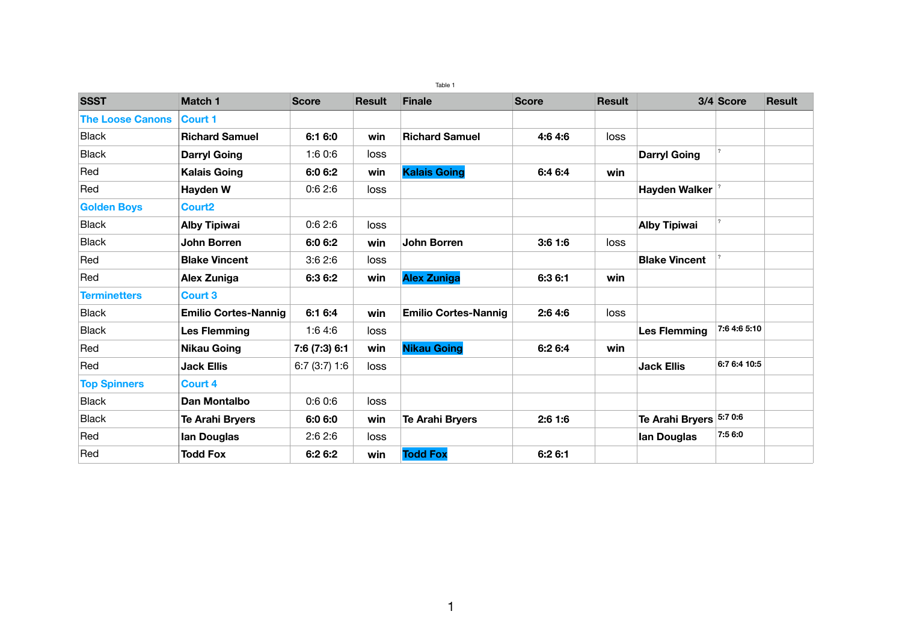Table 1

| <b>SSST</b>             | <b>Match 1</b>              | <b>Score</b>  | <b>Result</b> | <b>Finale</b>               | <b>Score</b> | <b>Result</b> |                         | 3/4 Score    | <b>Result</b> |
|-------------------------|-----------------------------|---------------|---------------|-----------------------------|--------------|---------------|-------------------------|--------------|---------------|
| <b>The Loose Canons</b> | Court 1                     |               |               |                             |              |               |                         |              |               |
| <b>Black</b>            | <b>Richard Samuel</b>       | 6:1 6:0       | win           | <b>Richard Samuel</b>       | 4:6 4:6      | loss          |                         |              |               |
| <b>Black</b>            | <b>Darryl Going</b>         | 1:60:6        | <b>loss</b>   |                             |              |               | <b>Darryl Going</b>     |              |               |
| Red                     | <b>Kalais Going</b>         | 6:0 6:2       | win           | <b>Kalais Going</b>         | 6:4 6:4      | win           |                         |              |               |
| Red                     | <b>Hayden W</b>             | 0.62:6        | loss          |                             |              |               | <b>Hayden Walker</b>    |              |               |
| <b>Golden Boys</b>      | <b>Court2</b>               |               |               |                             |              |               |                         |              |               |
| <b>Black</b>            | <b>Alby Tipiwai</b>         | 0:62:6        | loss          |                             |              |               | <b>Alby Tipiwai</b>     |              |               |
| <b>Black</b>            | <b>John Borren</b>          | 6:0 6:2       | win           | <b>John Borren</b>          | 3:61:6       | loss          |                         |              |               |
| Red                     | <b>Blake Vincent</b>        | 3:62:6        | <b>loss</b>   |                             |              |               | <b>Blake Vincent</b>    |              |               |
| Red                     | <b>Alex Zuniga</b>          | 6:3 6:2       | win           | <b>Alex Zuniga</b>          | 6:3 6:1      | win           |                         |              |               |
| <b>Terminetters</b>     | <b>Court 3</b>              |               |               |                             |              |               |                         |              |               |
| <b>Black</b>            | <b>Emilio Cortes-Nannig</b> | 6:1 6:4       | win           | <b>Emilio Cortes-Nannig</b> | 2:64:6       | <b>loss</b>   |                         |              |               |
| <b>Black</b>            | <b>Les Flemming</b>         | 1:6 4:6       | <b>loss</b>   |                             |              |               | <b>Les Flemming</b>     | 7:6 4:6 5:10 |               |
| Red                     | <b>Nikau Going</b>          | 7:6 (7:3) 6:1 | win           | <b>Nikau Going</b>          | 6:2 6:4      | win           |                         |              |               |
| Red                     | <b>Jack Ellis</b>           | 6:7(3:7)1:6   | loss          |                             |              |               | <b>Jack Ellis</b>       | 6:7 6:4 10:5 |               |
| <b>Top Spinners</b>     | <b>Court 4</b>              |               |               |                             |              |               |                         |              |               |
| <b>Black</b>            | Dan Montalbo                | 0.60.6        | loss          |                             |              |               |                         |              |               |
| <b>Black</b>            | <b>Te Arahi Bryers</b>      | 6:0 6:0       | win           | <b>Te Arahi Bryers</b>      | 2:61:6       |               | Te Arahi Bryers 5:7 0:6 |              |               |
| Red                     | <b>Ian Douglas</b>          | 2:62:6        | loss          |                             |              |               | <b>Ian Douglas</b>      | 7:5 6:0      |               |
| Red                     | <b>Todd Fox</b>             | 6:2 6:2       | win           | <b>Todd Fox</b>             | 6:2 6:1      |               |                         |              |               |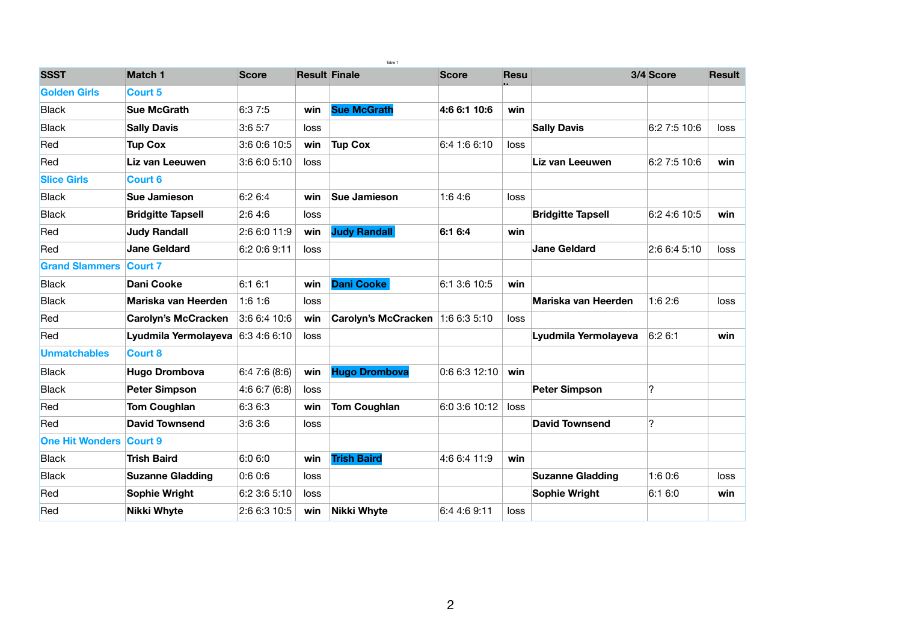| Table 1                        |                                   |              |             |                                    |              |             |                          |                            |               |
|--------------------------------|-----------------------------------|--------------|-------------|------------------------------------|--------------|-------------|--------------------------|----------------------------|---------------|
| <b>SSST</b>                    | <b>Match 1</b>                    | <b>Score</b> |             | <b>Result Finale</b>               | <b>Score</b> | <b>Resu</b> |                          | 3/4 Score                  | <b>Result</b> |
| <b>Golden Girls</b>            | <b>Court 5</b>                    |              |             |                                    |              |             |                          |                            |               |
| <b>Black</b>                   | <b>Sue McGrath</b>                | 6:3 7:5      | win         | <b>Sue McGrath</b>                 | 4:6 6:1 10:6 | win         |                          |                            |               |
| <b>Black</b>                   | <b>Sally Davis</b>                | 3:65:7       | loss        |                                    |              |             | <b>Sally Davis</b>       | 6:2 7:5 10:6               | <b>loss</b>   |
| Red                            | <b>Tup Cox</b>                    | 3:6 0:6 10:5 | win         | <b>Tup Cox</b>                     | 6:4 1:6 6:10 | loss        |                          |                            |               |
| Red                            | Liz van Leeuwen                   | 3:6 6:0 5:10 | <b>loss</b> |                                    |              |             | Liz van Leeuwen          | 6:2 7:5 10:6               | win           |
| <b>Slice Girls</b>             | <b>Court 6</b>                    |              |             |                                    |              |             |                          |                            |               |
| <b>Black</b>                   | <b>Sue Jamieson</b>               | 6:26:4       | win         | <b>Sue Jamieson</b>                | 1:64:6       | <b>loss</b> |                          |                            |               |
| <b>Black</b>                   | <b>Bridgitte Tapsell</b>          | 2:64:6       | <b>loss</b> |                                    |              |             | <b>Bridgitte Tapsell</b> | 6:2 4:6 10:5               | win           |
| Red                            | <b>Judy Randall</b>               | 2:6 6:0 11:9 | win         | <b>Judy Randall</b>                | 6:16:4       | win         |                          |                            |               |
| Red                            | <b>Jane Geldard</b>               | 6:2 0:6 9:11 | loss        |                                    |              |             | <b>Jane Geldard</b>      | 2:6 6:4 5:10               | <b>loss</b>   |
| <b>Grand Slammers Court 7</b>  |                                   |              |             |                                    |              |             |                          |                            |               |
| <b>Black</b>                   | <b>Dani Cooke</b>                 | 6:1 6:1      | win         | <b>Dani Cooke</b>                  | 6:1 3:6 10:5 | win         |                          |                            |               |
| <b>Black</b>                   | <b>Mariska van Heerden</b>        | 1:61:6       | loss        |                                    |              |             | Mariska van Heerden      | 1:62:6                     | <b>loss</b>   |
| Red                            | <b>Carolyn's McCracken</b>        | 3:66:410:6   | win         | Carolyn's McCracken   1:6 6:3 5:10 |              | loss        |                          |                            |               |
| Red                            | Lyudmila Yermolayeva 6:3 4:6 6:10 |              | <b>loss</b> |                                    |              |             | Lyudmila Yermolayeva     | 6:2 6:1                    | win           |
| <b>Unmatchables</b>            | <b>Court 8</b>                    |              |             |                                    |              |             |                          |                            |               |
| <b>Black</b>                   | <b>Hugo Drombova</b>              | 6:47:6(8:6)  | win         | <b>Hugo Drombova</b>               | 0.66312:10   | win         |                          |                            |               |
| <b>Black</b>                   | <b>Peter Simpson</b>              | 4:66:7(6:8)  | loss        |                                    |              |             | <b>Peter Simpson</b>     | $\boldsymbol{\mathcal{D}}$ |               |
| Red                            | <b>Tom Coughlan</b>               | 6:36:3       | win         | <b>Tom Coughlan</b>                | 6:03:610:12  | <b>loss</b> |                          |                            |               |
| <b>Red</b>                     | <b>David Townsend</b>             | 3:63:6       | loss        |                                    |              |             | <b>David Townsend</b>    | <u>?</u>                   |               |
| <b>One Hit Wonders Court 9</b> |                                   |              |             |                                    |              |             |                          |                            |               |
| <b>Black</b>                   | <b>Trish Baird</b>                | 6:0 6:0      | win         | <b>Trish Baird</b>                 | 4:6 6:4 11:9 | win         |                          |                            |               |
| <b>Black</b>                   | <b>Suzanne Gladding</b>           | 0.6 0.6      | loss        |                                    |              |             | <b>Suzanne Gladding</b>  | 1:60:6                     | loss          |
| <b>Red</b>                     | <b>Sophie Wright</b>              | 6:2 3:6 5:10 | loss        |                                    |              |             | <b>Sophie Wright</b>     | 6:16:0                     | win           |
| Red                            | <b>Nikki Whyte</b>                | 2:6 6:3 10:5 | win         | <b>Nikki Whyte</b>                 | 6:4 4:6 9:11 | <b>loss</b> |                          |                            |               |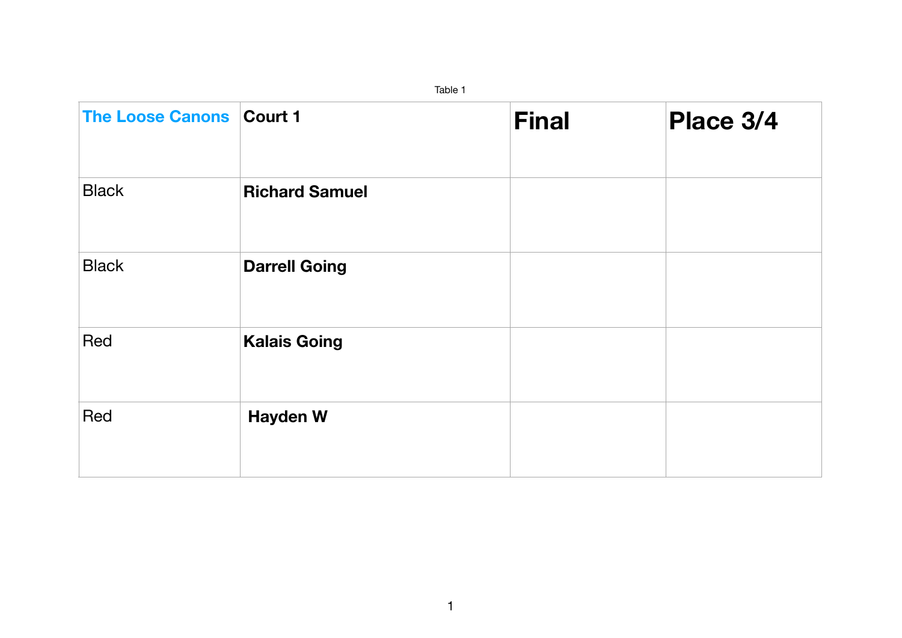| <b>The Loose Canons Court 1</b> |                       | <b>Final</b> | Place 3/4 |
|---------------------------------|-----------------------|--------------|-----------|
| <b>Black</b>                    | <b>Richard Samuel</b> |              |           |
| <b>Black</b>                    | <b>Darrell Going</b>  |              |           |
| Red                             | <b>Kalais Going</b>   |              |           |
| Red                             | <b>Hayden W</b>       |              |           |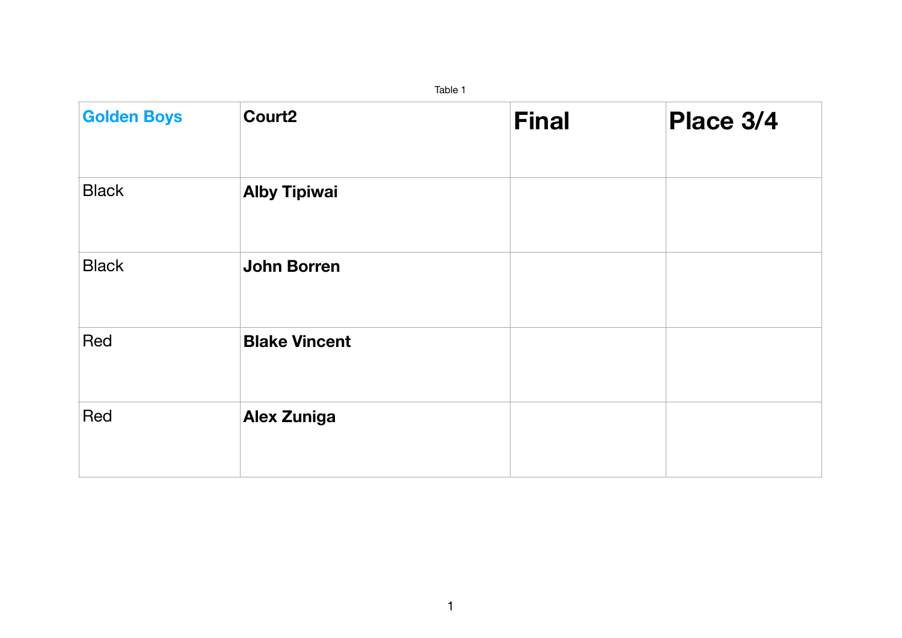| <b>Golden Boys</b> | Court <sub>2</sub>   | <b>Final</b> | Place 3/4 |
|--------------------|----------------------|--------------|-----------|
| <b>Black</b>       | <b>Alby Tipiwai</b>  |              |           |
| <b>Black</b>       | <b>John Borren</b>   |              |           |
| Red                | <b>Blake Vincent</b> |              |           |
| Red                | <b>Alex Zuniga</b>   |              |           |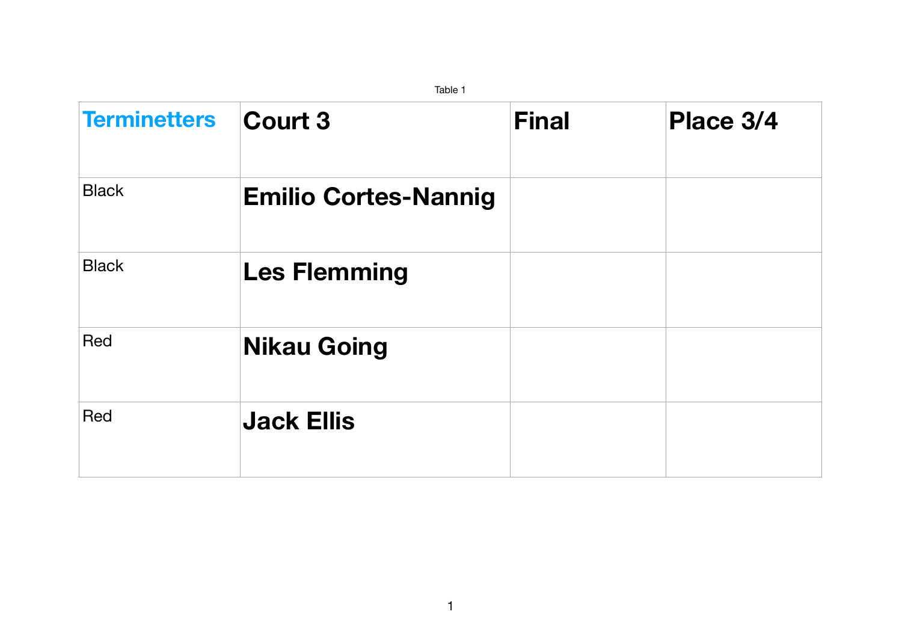| Table 1             |                             |              |           |  |  |  |
|---------------------|-----------------------------|--------------|-----------|--|--|--|
| <b>Terminetters</b> | Court 3                     | <b>Final</b> | Place 3/4 |  |  |  |
| <b>Black</b>        | <b>Emilio Cortes-Nannig</b> |              |           |  |  |  |
| <b>Black</b>        | <b>Les Flemming</b>         |              |           |  |  |  |
| Red                 | <b>Nikau Going</b>          |              |           |  |  |  |
| Red                 | <b>Jack Ellis</b>           |              |           |  |  |  |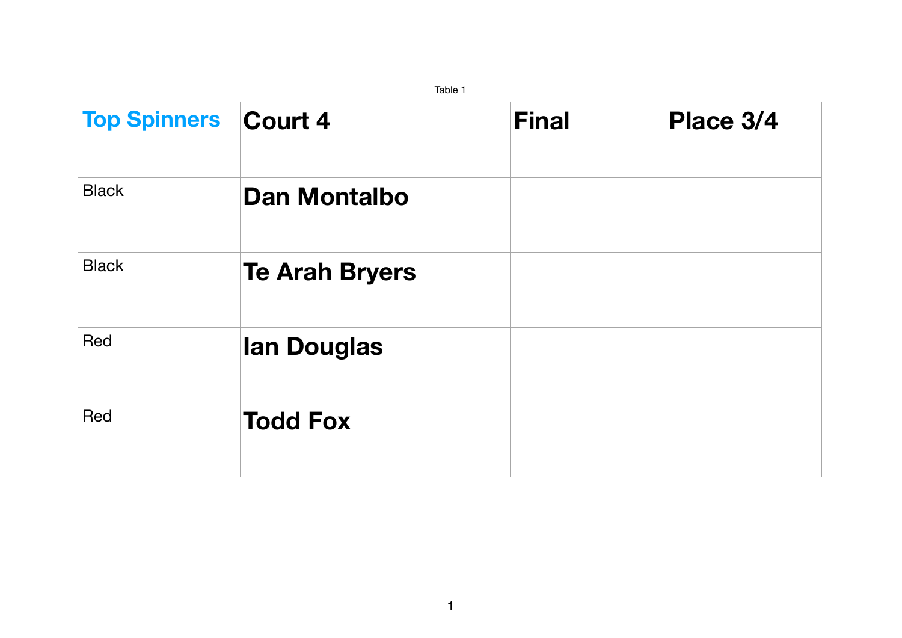|                             | Table 1               |              |           |  |  |  |  |  |
|-----------------------------|-----------------------|--------------|-----------|--|--|--|--|--|
| <b>Top Spinners Court 4</b> |                       | <b>Final</b> | Place 3/4 |  |  |  |  |  |
| <b>Black</b>                | <b>Dan Montalbo</b>   |              |           |  |  |  |  |  |
| <b>Black</b>                | <b>Te Arah Bryers</b> |              |           |  |  |  |  |  |
| Red                         | <b>lan Douglas</b>    |              |           |  |  |  |  |  |
| Red                         | <b>Todd Fox</b>       |              |           |  |  |  |  |  |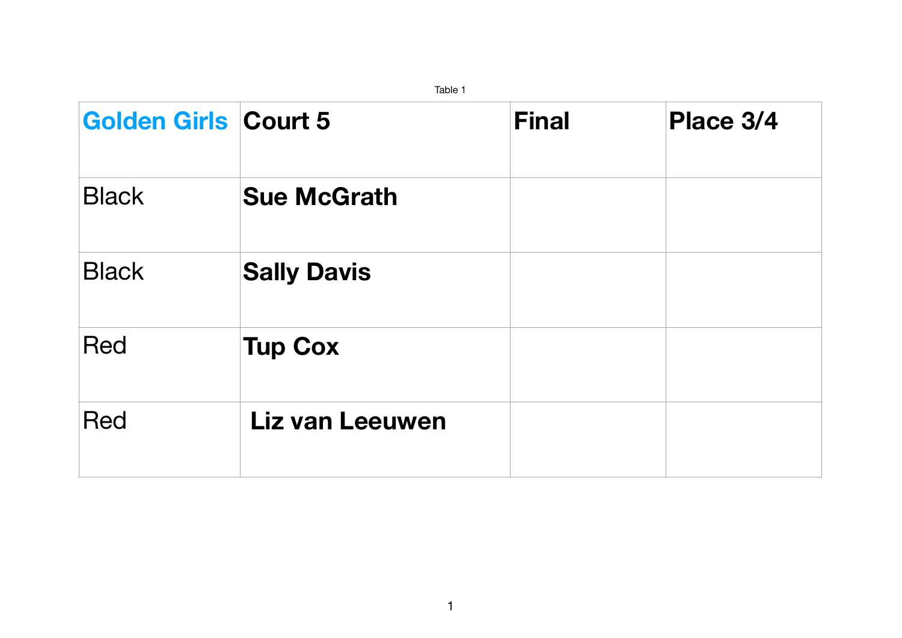|                             | Table 1                |              |           |
|-----------------------------|------------------------|--------------|-----------|
| <b>Golden Girls Court 5</b> |                        | <b>Final</b> | Place 3/4 |
| <b>Black</b>                | <b>Sue McGrath</b>     |              |           |
| <b>Black</b>                | <b>Sally Davis</b>     |              |           |
| Red                         | <b>Tup Cox</b>         |              |           |
| <b>Red</b>                  | <b>Liz van Leeuwen</b> |              |           |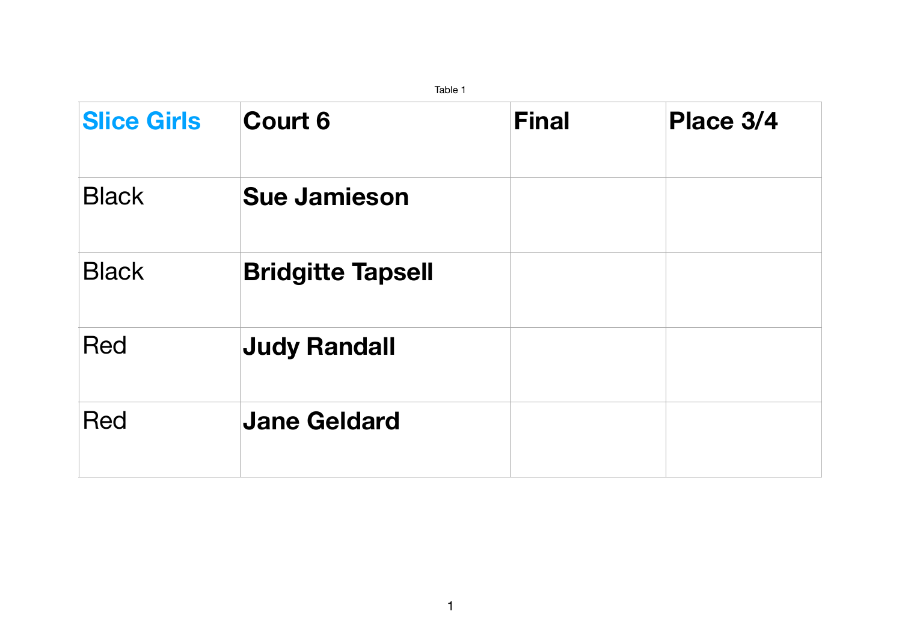|                    | Table 1                  |              |           |  |  |  |  |  |
|--------------------|--------------------------|--------------|-----------|--|--|--|--|--|
| <b>Slice Girls</b> | <b>Court 6</b>           | <b>Final</b> | Place 3/4 |  |  |  |  |  |
| <b>Black</b>       | <b>Sue Jamieson</b>      |              |           |  |  |  |  |  |
| <b>Black</b>       | <b>Bridgitte Tapsell</b> |              |           |  |  |  |  |  |
| <b>Red</b>         | <b>Judy Randall</b>      |              |           |  |  |  |  |  |
| <b>Red</b>         | <b>Jane Geldard</b>      |              |           |  |  |  |  |  |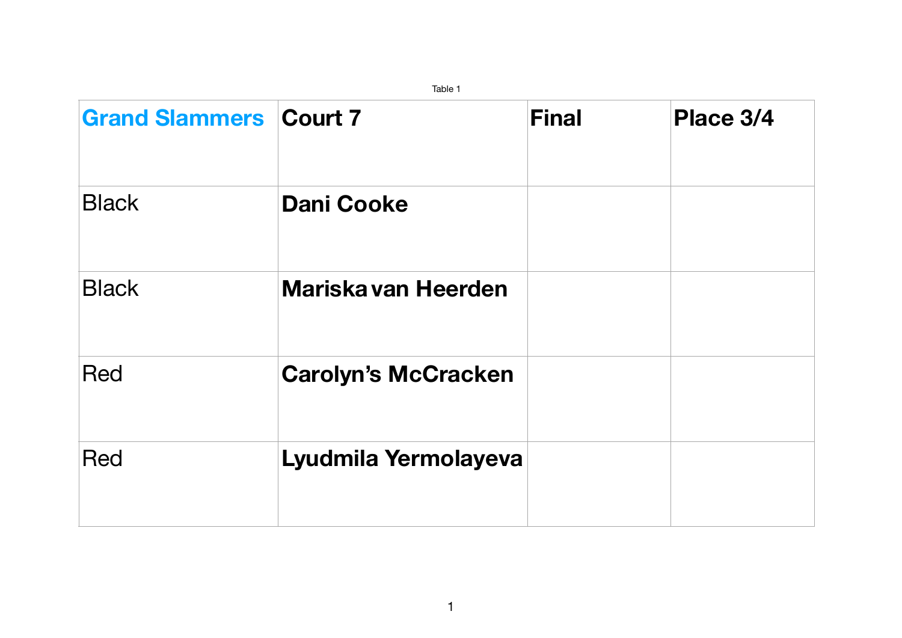

|                               | Table 1                    |              |                          |
|-------------------------------|----------------------------|--------------|--------------------------|
| <b>Grand Slammers Court 7</b> |                            | <b>Final</b> | $\overline{\phantom{a}}$ |
| <b>Black</b>                  | <b>Dani Cooke</b>          |              |                          |
| <b>Black</b>                  | Mariska van Heerden        |              |                          |
| <b>Red</b>                    | <b>Carolyn's McCracken</b> |              |                          |
| Red                           | Lyudmila Yermolayeva       |              |                          |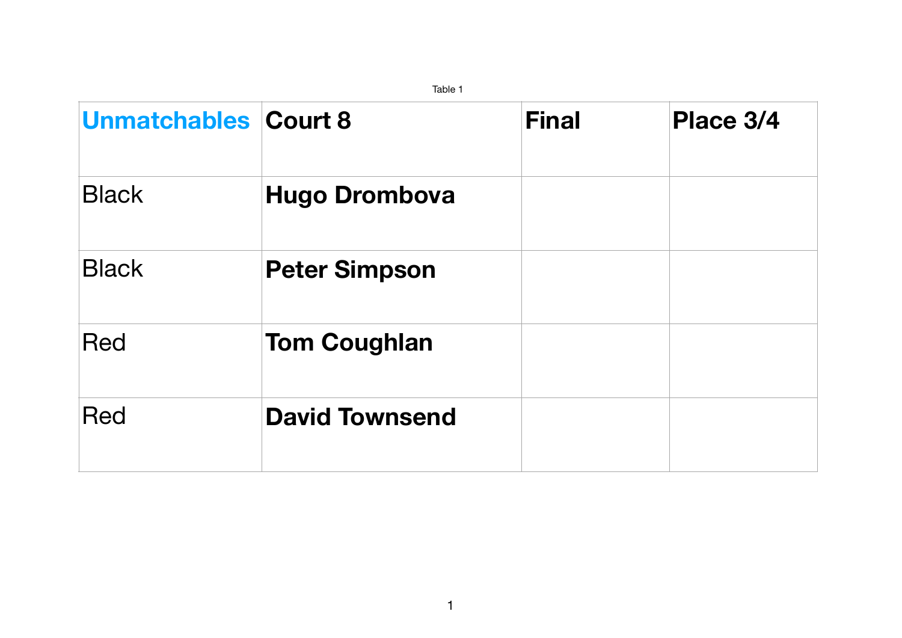| Taple T                     |                       |              |           |  |  |  |
|-----------------------------|-----------------------|--------------|-----------|--|--|--|
| <b>Unmatchables Court 8</b> |                       | <b>Final</b> | Place 3/4 |  |  |  |
| <b>Black</b>                | <b>Hugo Drombova</b>  |              |           |  |  |  |
| <b>Black</b>                | <b>Peter Simpson</b>  |              |           |  |  |  |
| <b>Red</b>                  | <b>Tom Coughlan</b>   |              |           |  |  |  |
| <b>Red</b>                  | <b>David Townsend</b> |              |           |  |  |  |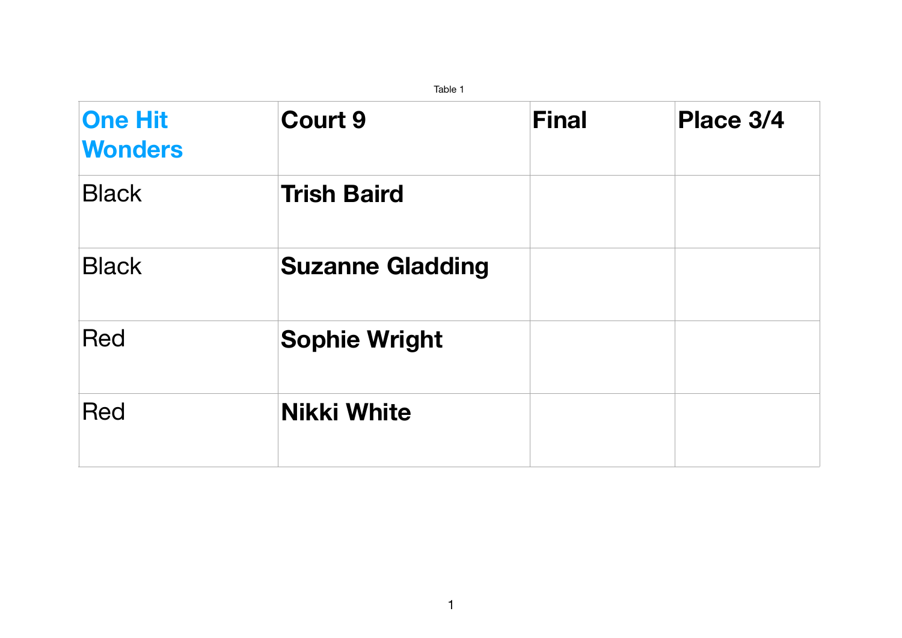|                                  | Table T                 |              |           |
|----------------------------------|-------------------------|--------------|-----------|
| <b>One Hit</b><br><b>Wonders</b> | <b>Court 9</b>          | <b>Final</b> | Place 3/4 |
| <b>Black</b>                     | <b>Trish Baird</b>      |              |           |
| <b>Black</b>                     | <b>Suzanne Gladding</b> |              |           |
| <b>Red</b>                       | <b>Sophie Wright</b>    |              |           |
| <b>Red</b>                       | <b>Nikki White</b>      |              |           |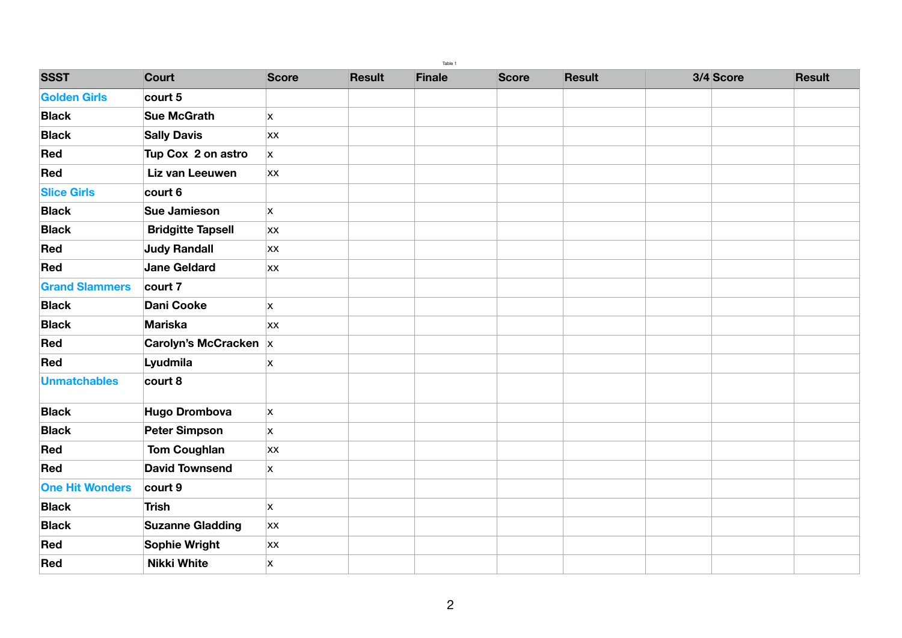|                        |                              |              |               | Table 1       |              |               |           |               |
|------------------------|------------------------------|--------------|---------------|---------------|--------------|---------------|-----------|---------------|
| <b>SSST</b>            | Court                        | <b>Score</b> | <b>Result</b> | <b>Finale</b> | <b>Score</b> | <b>Result</b> | 3/4 Score | <b>Result</b> |
| <b>Golden Girls</b>    | court 5                      |              |               |               |              |               |           |               |
| <b>Black</b>           | <b>Sue McGrath</b>           | X            |               |               |              |               |           |               |
| <b>Black</b>           | <b>Sally Davis</b>           | XX           |               |               |              |               |           |               |
| Red                    | Tup Cox 2 on astro           | X            |               |               |              |               |           |               |
| Red                    | Liz van Leeuwen              | XX           |               |               |              |               |           |               |
| <b>Slice Girls</b>     | court 6                      |              |               |               |              |               |           |               |
| <b>Black</b>           | <b>Sue Jamieson</b>          | X            |               |               |              |               |           |               |
| <b>Black</b>           | <b>Bridgitte Tapsell</b>     | XX           |               |               |              |               |           |               |
| Red                    | <b>Judy Randall</b>          | XX           |               |               |              |               |           |               |
| Red                    | <b>Jane Geldard</b>          | <b>XX</b>    |               |               |              |               |           |               |
| <b>Grand Slammers</b>  | court 7                      |              |               |               |              |               |           |               |
| <b>Black</b>           | <b>Dani Cooke</b>            | X            |               |               |              |               |           |               |
| <b>Black</b>           | <b>Mariska</b>               | <b>XX</b>    |               |               |              |               |           |               |
| Red                    | <b>Carolyn's McCracken X</b> |              |               |               |              |               |           |               |
| Red                    | Lyudmila                     | X            |               |               |              |               |           |               |
| Unmatchables           | court 8                      |              |               |               |              |               |           |               |
| <b>Black</b>           | <b>Hugo Drombova</b>         | $\mathsf{X}$ |               |               |              |               |           |               |
| <b>Black</b>           | <b>Peter Simpson</b>         | X            |               |               |              |               |           |               |
| Red                    | <b>Tom Coughlan</b>          | XX           |               |               |              |               |           |               |
| Red                    | <b>David Townsend</b>        | X            |               |               |              |               |           |               |
| <b>One Hit Wonders</b> | <b>court 9</b>               |              |               |               |              |               |           |               |
| <b>Black</b>           | <b>Trish</b>                 | X            |               |               |              |               |           |               |
| <b>Black</b>           | <b>Suzanne Gladding</b>      | XX           |               |               |              |               |           |               |
| Red                    | <b>Sophie Wright</b>         | <b>XX</b>    |               |               |              |               |           |               |
| Red                    | <b>Nikki White</b>           | X            |               |               |              |               |           |               |